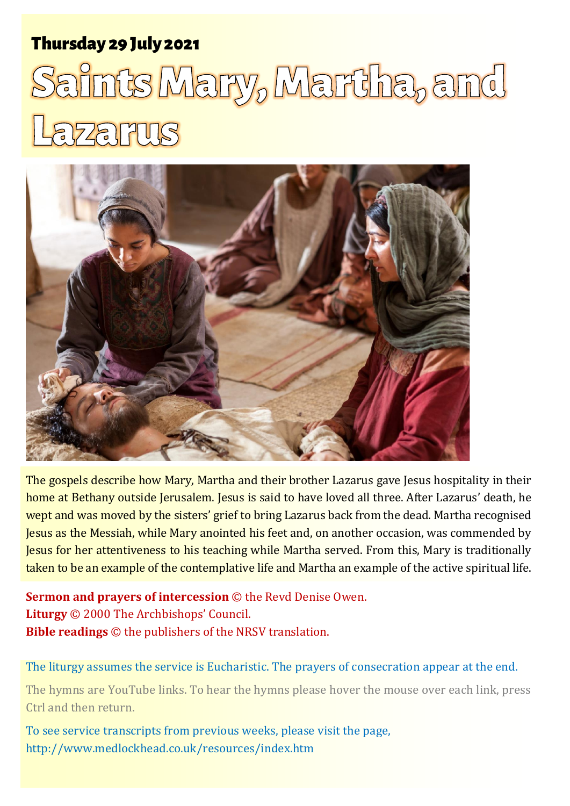## **Thursday 29 July 2021**

# Saints Mary, Martha, and



The gospels describe how Mary, Martha and their brother Lazarus gave Jesus hospitality in their home at Bethany outside Jerusalem. Jesus is said to have loved all three. After Lazarus' death, he wept and was moved by the sisters' grief to bring Lazarus back from the dead. Martha recognised Jesus as the Messiah, while Mary anointed his feet and, on another occasion, was commended by Jesus for her attentiveness to his teaching while Martha served. From this, Mary is traditionally taken to be an example of the contemplative life and Martha an example of the active spiritual life.

**Sermon and prayers of intercession** © the Revd Denise Owen. **Liturgy** © 2000 The Archbishops' Council. **Bible readings** © the publishers of the NRSV translation.

The liturgy assumes the service is Eucharistic. The prayers of consecration appear at the end.

The hymns are YouTube links. To hear the hymns please hover the mouse over each link, press Ctrl and then return.

To see service transcripts from previous weeks, please visit the page, [http://www.medlockhead.co.uk/resources/index.htm](about:blank)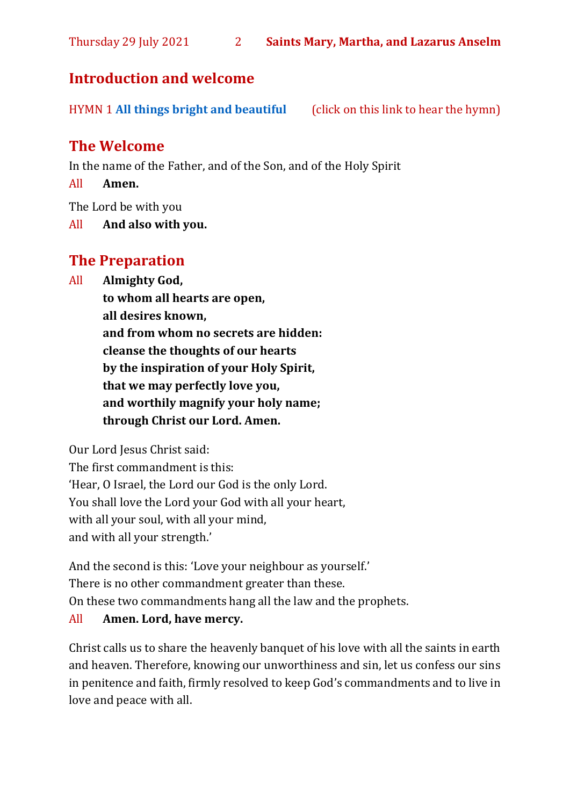#### **Introduction and welcome**

HYMN 1 **All [things bright and beautiful](https://www.youtube.com/watch?v=iUnQMvwaXlc)** (click on this link to hear the hymn)

#### **The Welcome**

In the name of the Father, and of the Son, and of the Holy Spirit

All **Amen.**

The Lord be with you

All **And also with you.**

#### **The Preparation**

All **Almighty God,**

**to whom all hearts are open, all desires known, and from whom no secrets are hidden: cleanse the thoughts of our hearts by the inspiration of your Holy Spirit, that we may perfectly love you, and worthily magnify your holy name; through Christ our Lord. Amen.**

Our Lord Jesus Christ said:

The first commandment is this: 'Hear, O Israel, the Lord our God is the only Lord. You shall love the Lord your God with all your heart, with all your soul, with all your mind, and with all your strength.'

And the second is this: 'Love your neighbour as yourself.' There is no other commandment greater than these. On these two commandments hang all the law and the prophets.

#### All **Amen. Lord, have mercy.**

Christ calls us to share the heavenly banquet of his love with all the saints in earth and heaven. Therefore, knowing our unworthiness and sin, let us confess our sins in penitence and faith, firmly resolved to keep God's commandments and to live in love and peace with all.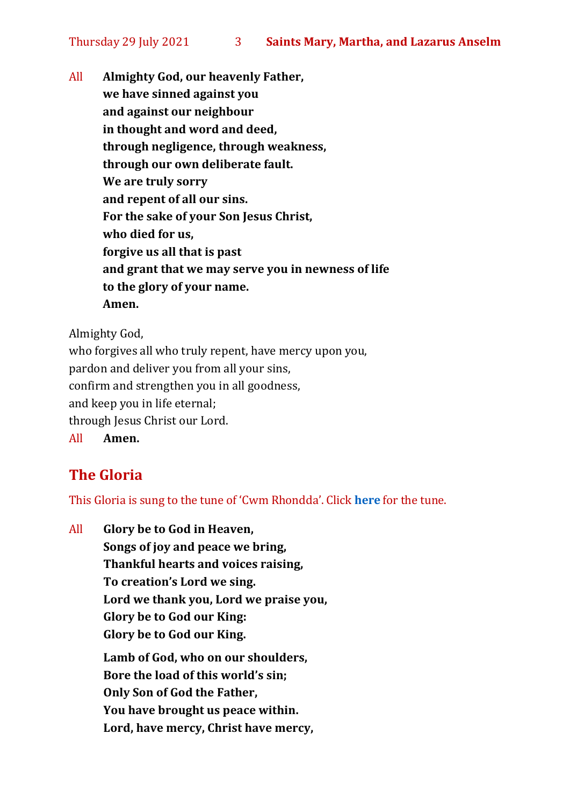All **Almighty God, our heavenly Father, we have sinned against you and against our neighbour in thought and word and deed, through negligence, through weakness, through our own deliberate fault. We are truly sorry and repent of all our sins. For the sake of your Son Jesus Christ, who died for us, forgive us all that is past and grant that we may serve you in newness of life to the glory of your name. Amen.**

Almighty God,

who forgives all who truly repent, have mercy upon you, pardon and deliver you from all your sins, confirm and strengthen you in all goodness, and keep you in life eternal; through Jesus Christ our Lord. All **Amen.**

#### **The Gloria**

This Gloria is sung to the tune of 'Cwm Rhondda'. Click **[here](about:blank)** for the tune.

All **Glory be to God in Heaven, Songs of joy and peace we bring, Thankful hearts and voices raising, To creation's Lord we sing. Lord we thank you, Lord we praise you, Glory be to God our King: Glory be to God our King. Lamb of God, who on our shoulders, Bore the load of this world's sin; Only Son of God the Father, You have brought us peace within. Lord, have mercy, Christ have mercy,**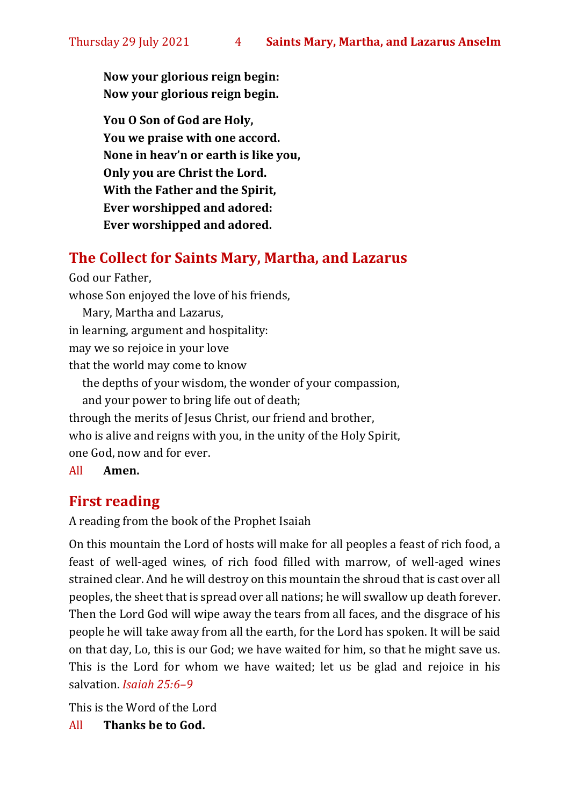**Now your glorious reign begin: Now your glorious reign begin.**

**You O Son of God are Holy, You we praise with one accord. None in heav'n or earth is like you, Only you are Christ the Lord. With the Father and the Spirit, Ever worshipped and adored: Ever worshipped and adored.**

#### **The Collect for Saints Mary, Martha, and Lazarus**

God our Father, whose Son enjoyed the love of his friends, Mary, Martha and Lazarus, in learning, argument and hospitality: may we so rejoice in your love that the world may come to know the depths of your wisdom, the wonder of your compassion, and your power to bring life out of death; through the merits of Jesus Christ, our friend and brother, who is alive and reigns with you, in the unity of the Holy Spirit, one God, now and for ever. All **Amen.**

#### **First reading**

A reading from the book of the Prophet Isaiah

On this mountain the Lord of hosts will make for all peoples a feast of rich food, a feast of well-aged wines, of rich food filled with marrow, of well-aged wines strained clear. And he will destroy on this mountain the shroud that is cast over all peoples, the sheet that is spread over all nations; he will swallow up death forever. Then the Lord God will wipe away the tears from all faces, and the disgrace of his people he will take away from all the earth, for the Lord has spoken. It will be said on that day, Lo, this is our God; we have waited for him, so that he might save us. This is the Lord for whom we have waited; let us be glad and rejoice in his salvation. *Isaiah 25:6–9*

This is the Word of the Lord

All **Thanks be to God.**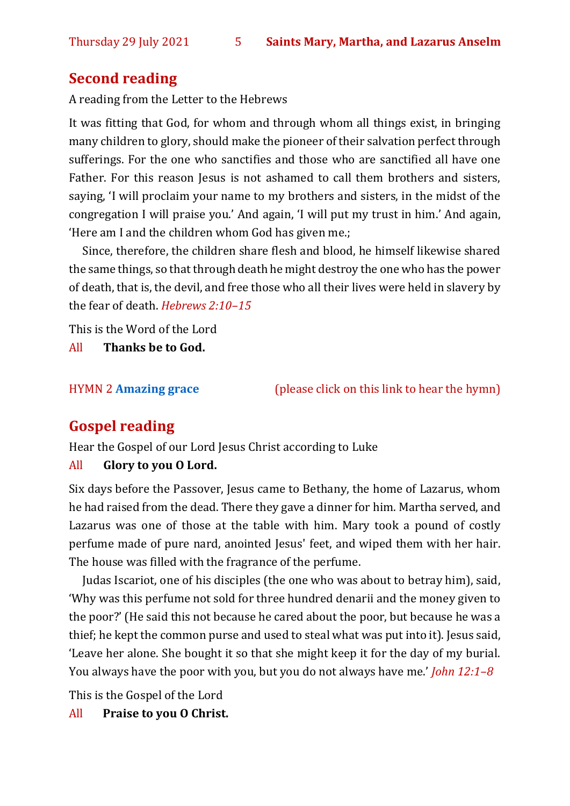#### **Second reading**

A reading from the Letter to the Hebrews

It was fitting that God, for whom and through whom all things exist, in bringing many children to glory, should make the pioneer of their salvation perfect through sufferings. For the one who sanctifies and those who are sanctified all have one Father. For this reason Jesus is not ashamed to call them brothers and sisters, saying, 'I will proclaim your name to my brothers and sisters, in the midst of the congregation I will praise you.' And again, 'I will put my trust in him.' And again, 'Here am I and the children whom God has given me.;

Since, therefore, the children share flesh and blood, he himself likewise shared the same things, so that through death he might destroy the one who has the power of death, that is, the devil, and free those who all their lives were held in slavery by the fear of death. *Hebrews 2:10–15*

This is the Word of the Lord All **Thanks be to God.**

HYMN 2 **[Amazing grace](https://www.youtube.com/watch?v=CDdvReNKKuk)** (please click on this link to hear the hymn)

### **Gospel reading**

Hear the Gospel of our Lord Jesus Christ according to Luke

#### All **Glory to you O Lord.**

Six days before the Passover, Jesus came to Bethany, the home of Lazarus, whom he had raised from the dead. There they gave a dinner for him. Martha served, and Lazarus was one of those at the table with him. Mary took a pound of costly perfume made of pure nard, anointed Jesus' feet, and wiped them with her hair. The house was filled with the fragrance of the perfume.

Judas Iscariot, one of his disciples (the one who was about to betray him), said, 'Why was this perfume not sold for three hundred denarii and the money given to the poor?' (He said this not because he cared about the poor, but because he was a thief; he kept the common purse and used to steal what was put into it). Jesus said, 'Leave her alone. She bought it so that she might keep it for the day of my burial. You always have the poor with you, but you do not always have me.' *John 12:1–8*

This is the Gospel of the Lord

All **Praise to you O Christ.**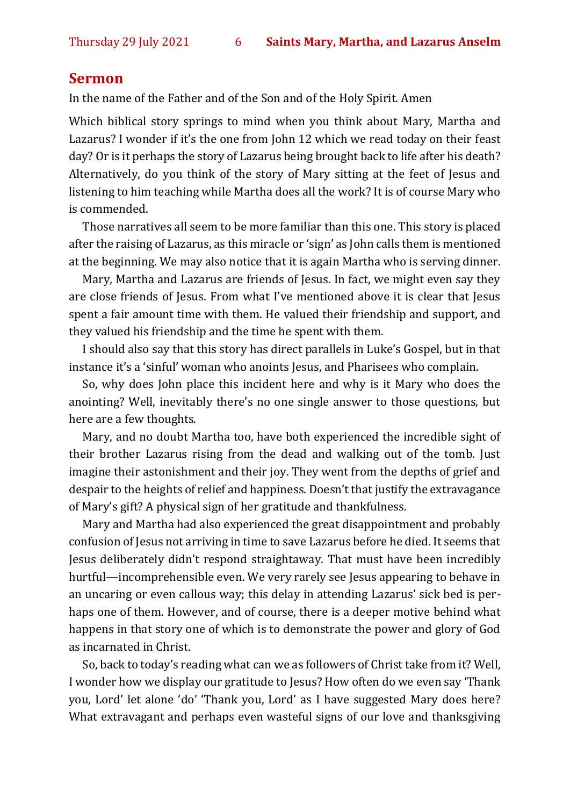#### **Sermon**

In the name of the Father and of the Son and of the Holy Spirit. Amen

Which biblical story springs to mind when you think about Mary, Martha and Lazarus? I wonder if it's the one from John 12 which we read today on their feast day? Or is it perhaps the story of Lazarus being brought back to life after his death? Alternatively, do you think of the story of Mary sitting at the feet of Jesus and listening to him teaching while Martha does all the work? It is of course Mary who is commended.

Those narratives all seem to be more familiar than this one. This story is placed after the raising of Lazarus, as this miracle or 'sign' as John calls them is mentioned at the beginning. We may also notice that it is again Martha who is serving dinner.

Mary, Martha and Lazarus are friends of Jesus. In fact, we might even say they are close friends of Jesus. From what I've mentioned above it is clear that Jesus spent a fair amount time with them. He valued their friendship and support, and they valued his friendship and the time he spent with them.

I should also say that this story has direct parallels in Luke's Gospel, but in that instance it's a 'sinful' woman who anoints Jesus, and Pharisees who complain.

So, why does John place this incident here and why is it Mary who does the anointing? Well, inevitably there's no one single answer to those questions, but here are a few thoughts.

Mary, and no doubt Martha too, have both experienced the incredible sight of their brother Lazarus rising from the dead and walking out of the tomb. Just imagine their astonishment and their joy. They went from the depths of grief and despair to the heights of relief and happiness. Doesn't that justify the extravagance of Mary's gift? A physical sign of her gratitude and thankfulness.

Mary and Martha had also experienced the great disappointment and probably confusion of Jesus not arriving in time to save Lazarus before he died. It seems that Jesus deliberately didn't respond straightaway. That must have been incredibly hurtful—incomprehensible even. We very rarely see Jesus appearing to behave in an uncaring or even callous way; this delay in attending Lazarus' sick bed is perhaps one of them. However, and of course, there is a deeper motive behind what happens in that story one of which is to demonstrate the power and glory of God as incarnated in Christ.

So, back to today's reading what can we as followers of Christ take from it? Well, I wonder how we display our gratitude to Jesus? How often do we even say 'Thank you, Lord' let alone 'do' 'Thank you, Lord' as I have suggested Mary does here? What extravagant and perhaps even wasteful signs of our love and thanksgiving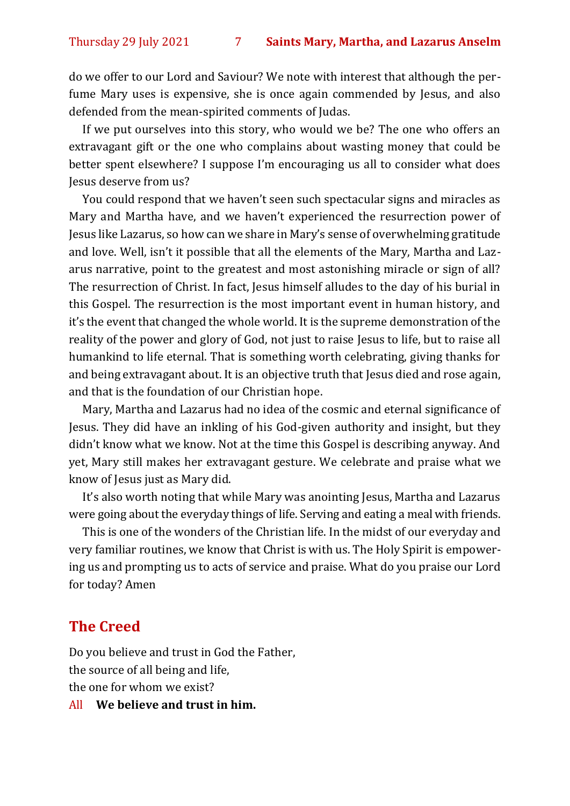do we offer to our Lord and Saviour? We note with interest that although the perfume Mary uses is expensive, she is once again commended by Jesus, and also defended from the mean-spirited comments of Judas.

If we put ourselves into this story, who would we be? The one who offers an extravagant gift or the one who complains about wasting money that could be better spent elsewhere? I suppose I'm encouraging us all to consider what does Jesus deserve from us?

You could respond that we haven't seen such spectacular signs and miracles as Mary and Martha have, and we haven't experienced the resurrection power of Jesus like Lazarus, so how can we share in Mary's sense of overwhelming gratitude and love. Well, isn't it possible that all the elements of the Mary, Martha and Lazarus narrative, point to the greatest and most astonishing miracle or sign of all? The resurrection of Christ. In fact, Jesus himself alludes to the day of his burial in this Gospel. The resurrection is the most important event in human history, and it's the event that changed the whole world. It is the supreme demonstration of the reality of the power and glory of God, not just to raise Jesus to life, but to raise all humankind to life eternal. That is something worth celebrating, giving thanks for and being extravagant about. It is an objective truth that Jesus died and rose again, and that is the foundation of our Christian hope.

Mary, Martha and Lazarus had no idea of the cosmic and eternal significance of Jesus. They did have an inkling of his God-given authority and insight, but they didn't know what we know. Not at the time this Gospel is describing anyway. And yet, Mary still makes her extravagant gesture. We celebrate and praise what we know of Jesus just as Mary did.

It's also worth noting that while Mary was anointing Jesus, Martha and Lazarus were going about the everyday things of life. Serving and eating a meal with friends.

This is one of the wonders of the Christian life. In the midst of our everyday and very familiar routines, we know that Christ is with us. The Holy Spirit is empowering us and prompting us to acts of service and praise. What do you praise our Lord for today? Amen

#### **The Creed**

Do you believe and trust in God the Father, the source of all being and life, the one for whom we exist? All **We believe and trust in him.**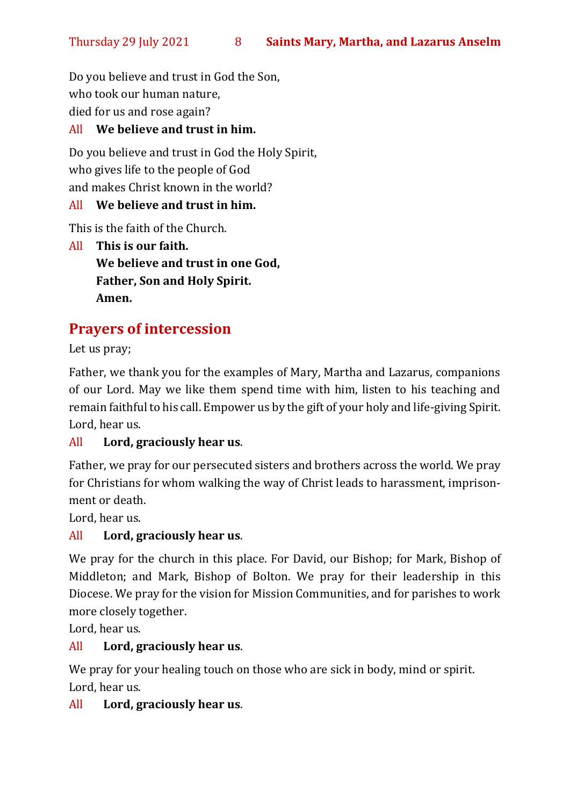Do you believe and trust in God the Son, who took our human nature, died for us and rose again?

#### All **We believe and trust in him.**

Do you believe and trust in God the Holy Spirit, who gives life to the people of God and makes Christ known in the world?

#### All **We believe and trust in him.**

This is the faith of the Church.

All **This is our faith. We believe and trust in one God, Father, Son and Holy Spirit. Amen.**

#### **Prayers of intercession**

Let us pray;

Father, we thank you for the examples of Mary, Martha and Lazarus, companions of our Lord. May we like them spend time with him, listen to his teaching and remain faithful to his call. Empower us by the gift of your holy and life-giving Spirit. Lord, hear us.

#### All **Lord, graciously hear us**.

Father, we pray for our persecuted sisters and brothers across the world. We pray for Christians for whom walking the way of Christ leads to harassment, imprisonment or death.

Lord, hear us.

#### All **Lord, graciously hear us**.

We pray for the church in this place. For David, our Bishop; for Mark, Bishop of Middleton; and Mark, Bishop of Bolton. We pray for their leadership in this Diocese. We pray for the vision for Mission Communities, and for parishes to work more closely together.

Lord, hear us.

#### All **Lord, graciously hear us**.

We pray for your healing touch on those who are sick in body, mind or spirit. Lord, hear us.

#### All **Lord, graciously hear us**.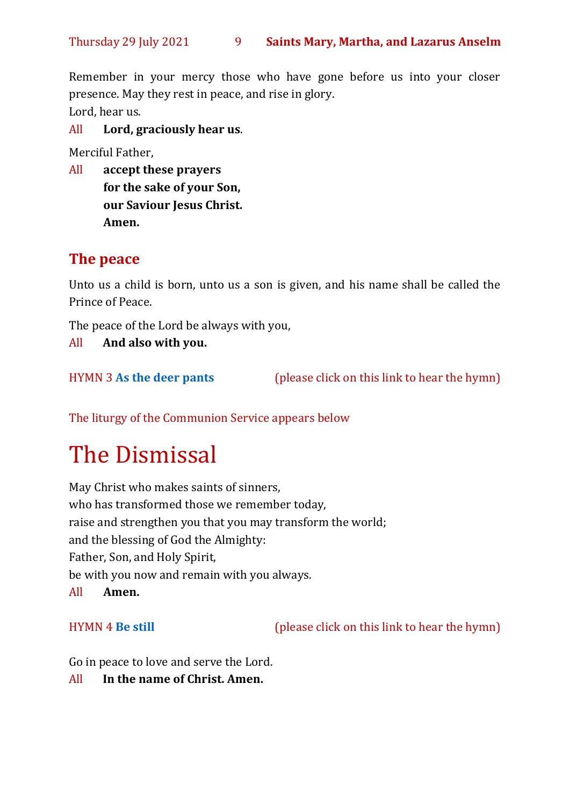Remember in your mercy those who have gone before us into your closer presence. May they rest in peace, and rise in glory. Lord, hear us.

All **Lord, graciously hear us**.

Merciful Father,

All **accept these prayers for the sake of your Son, our Saviour Jesus Christ. Amen.**

#### **The peace**

Unto us a child is born, unto us a son is given, and his name shall be called the Prince of Peace.

The peace of the Lord be always with you,

All **And also with you.**

HYMN 3 **[As the deer pants](https://youtu.be/peZudXt9faU)** (please click on this link to hear the hymn)

The liturgy of the Communion Service appears below

# The Dismissal

May Christ who makes saints of sinners, who has transformed those we remember today, raise and strengthen you that you may transform the world; and the blessing of God the Almighty: Father, Son, and Holy Spirit, be with you now and remain with you always. All **Amen.**

HYMN 4 **[Be still](https://youtu.be/OOXj-ZE_2Zo)** (please click on this link to hear the hymn)

Go in peace to love and serve the Lord.

All **In the name of Christ. Amen.**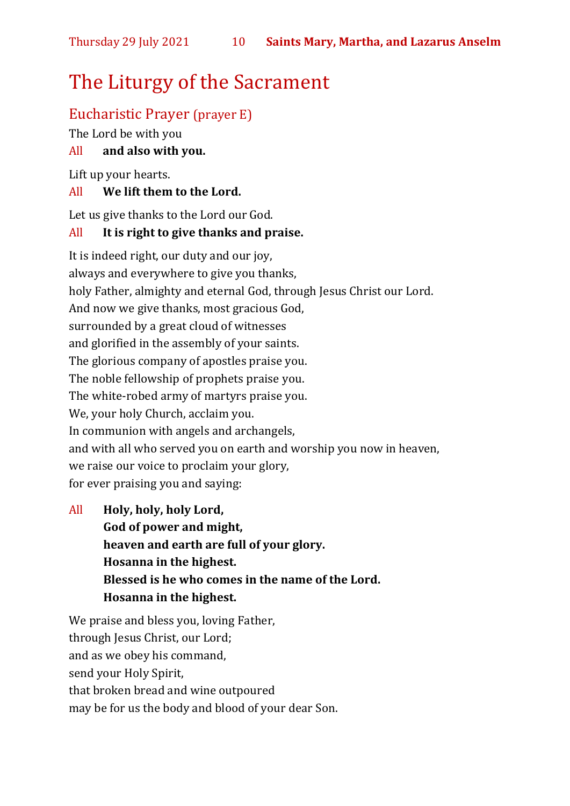# The Liturgy of the Sacrament

#### Eucharistic Prayer (prayer E)

The Lord be with you

#### All **and also with you.**

Lift up your hearts.

#### All **We lift them to the Lord.**

Let us give thanks to the Lord our God.

#### All **It is right to give thanks and praise.**

It is indeed right, our duty and our joy, always and everywhere to give you thanks, holy Father, almighty and eternal God, through Jesus Christ our Lord. And now we give thanks, most gracious God, surrounded by a great cloud of witnesses and glorified in the assembly of your saints. The glorious company of apostles praise you. The noble fellowship of prophets praise you. The white-robed army of martyrs praise you. We, your holy Church, acclaim you. In communion with angels and archangels, and with all who served you on earth and worship you now in heaven, we raise our voice to proclaim your glory, for ever praising you and saying:

All **Holy, holy, holy Lord, God of power and might, heaven and earth are full of your glory. Hosanna in the highest. Blessed is he who comes in the name of the Lord. Hosanna in the highest.**

We praise and bless you, loving Father, through Jesus Christ, our Lord; and as we obey his command, send your Holy Spirit, that broken bread and wine outpoured may be for us the body and blood of your dear Son.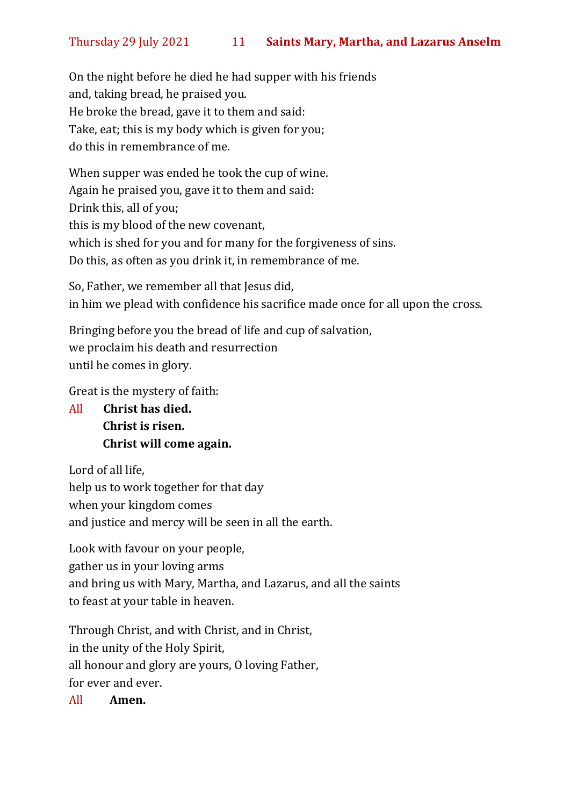On the night before he died he had supper with his friends and, taking bread, he praised you. He broke the bread, gave it to them and said: Take, eat; this is my body which is given for you; do this in remembrance of me.

When supper was ended he took the cup of wine. Again he praised you, gave it to them and said: Drink this, all of you; this is my blood of the new covenant, which is shed for you and for many for the forgiveness of sins. Do this, as often as you drink it, in remembrance of me.

So, Father, we remember all that Jesus did, in him we plead with confidence his sacrifice made once for all upon the cross.

Bringing before you the bread of life and cup of salvation, we proclaim his death and resurrection until he comes in glory.

Great is the mystery of faith:

All **Christ has died. Christ is risen. Christ will come again.**

Lord of all life, help us to work together for that day when your kingdom comes and justice and mercy will be seen in all the earth.

Look with favour on your people, gather us in your loving arms and bring us with Mary, Martha, and Lazarus, and all the saints to feast at your table in heaven.

Through Christ, and with Christ, and in Christ, in the unity of the Holy Spirit, all honour and glory are yours, O loving Father, for ever and ever.

All **Amen.**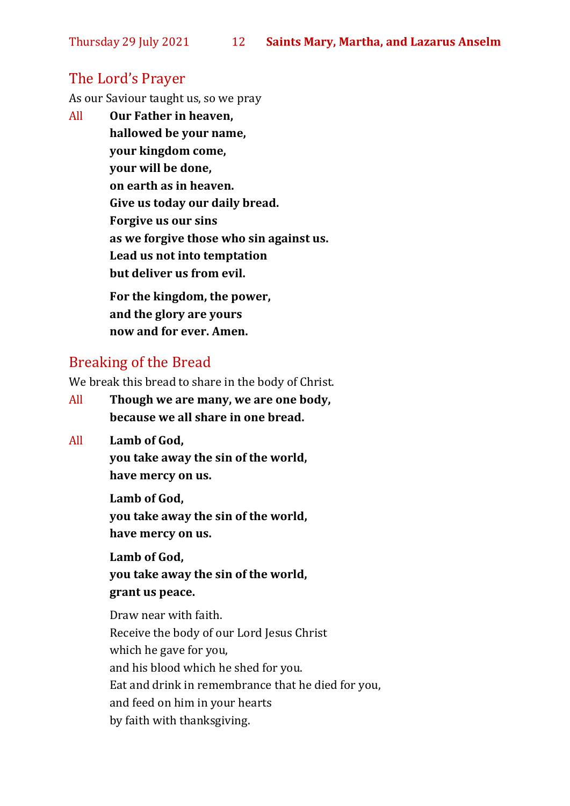#### The Lord's Prayer

As our Saviour taught us, so we pray

All **Our Father in heaven, hallowed be your name, your kingdom come, your will be done, on earth as in heaven. Give us today our daily bread. Forgive us our sins as we forgive those who sin against us. Lead us not into temptation but deliver us from evil. For the kingdom, the power,** 

**and the glory are yours now and for ever. Amen.**

#### Breaking of the Bread

We break this bread to share in the body of Christ.

- All **Though we are many, we are one body, because we all share in one bread.**
- All **Lamb of God,**

**you take away the sin of the world, have mercy on us.**

**Lamb of God, you take away the sin of the world, have mercy on us.**

**Lamb of God, you take away the sin of the world, grant us peace.**

Draw near with faith. Receive the body of our Lord Jesus Christ which he gave for you, and his blood which he shed for you. Eat and drink in remembrance that he died for you, and feed on him in your hearts by faith with thanksgiving.